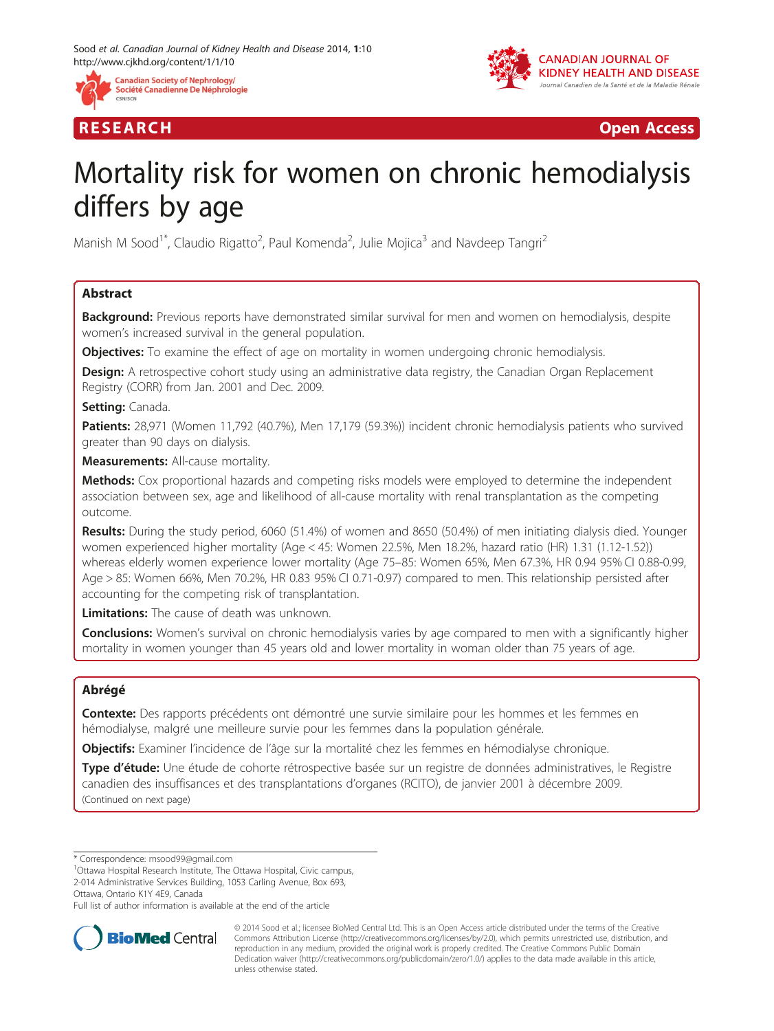



R E S EAR CH Open Access

# Mortality risk for women on chronic hemodialysis differs by age

Manish M Sood<sup>1\*</sup>, Claudio Rigatto<sup>2</sup>, Paul Komenda<sup>2</sup>, Julie Mojica<sup>3</sup> and Navdeep Tangri<sup>2</sup>

# Abstract

**Background:** Previous reports have demonstrated similar survival for men and women on hemodialysis, despite women's increased survival in the general population.

**Objectives:** To examine the effect of age on mortality in women undergoing chronic hemodialysis.

Design: A retrospective cohort study using an administrative data registry, the Canadian Organ Replacement Registry (CORR) from Jan. 2001 and Dec. 2009.

Setting: Canada.

Patients: 28,971 (Women 11,792 (40.7%), Men 17,179 (59.3%)) incident chronic hemodialysis patients who survived greater than 90 days on dialysis.

**Measurements:** All-cause mortality.

Methods: Cox proportional hazards and competing risks models were employed to determine the independent association between sex, age and likelihood of all-cause mortality with renal transplantation as the competing outcome.

Results: During the study period, 6060 (51.4%) of women and 8650 (50.4%) of men initiating dialysis died. Younger women experienced higher mortality (Age < 45: Women 22.5%, Men 18.2%, hazard ratio (HR) 1.31 (1.12-1.52)) whereas elderly women experience lower mortality (Age 75–85: Women 65%, Men 67.3%, HR 0.94 95% CI 0.88-0.99, Age > 85: Women 66%, Men 70.2%, HR 0.83 95% CI 0.71-0.97) compared to men. This relationship persisted after accounting for the competing risk of transplantation.

**Limitations:** The cause of death was unknown.

Conclusions: Women's survival on chronic hemodialysis varies by age compared to men with a significantly higher mortality in women younger than 45 years old and lower mortality in woman older than 75 years of age.

# Abrégé

Contexte: Des rapports précédents ont démontré une survie similaire pour les hommes et les femmes en hémodialyse, malgré une meilleure survie pour les femmes dans la population générale.

Objectifs: Examiner l'incidence de l'âge sur la mortalité chez les femmes en hémodialyse chronique.

Type d'étude: Une étude de cohorte rétrospective basée sur un registre de données administratives, le Registre canadien des insuffisances et des transplantations d'organes (RCITO), de janvier 2001 à décembre 2009. (Continued on next page)

\* Correspondence: [msood99@gmail.com](mailto:msood99@gmail.com) <sup>1</sup>

<sup>1</sup>Ottawa Hospital Research Institute, The Ottawa Hospital, Civic campus, 2-014 Administrative Services Building, 1053 Carling Avenue, Box 693,

Ottawa, Ontario K1Y 4E9, Canada

Full list of author information is available at the end of the article



© 2014 Sood et al.; licensee BioMed Central Ltd. This is an Open Access article distributed under the terms of the Creative Commons Attribution License [\(http://creativecommons.org/licenses/by/2.0\)](http://creativecommons.org/licenses/by/2.0), which permits unrestricted use, distribution, and reproduction in any medium, provided the original work is properly credited. The Creative Commons Public Domain Dedication waiver [\(http://creativecommons.org/publicdomain/zero/1.0/](http://creativecommons.org/publicdomain/zero/1.0/)) applies to the data made available in this article, unless otherwise stated.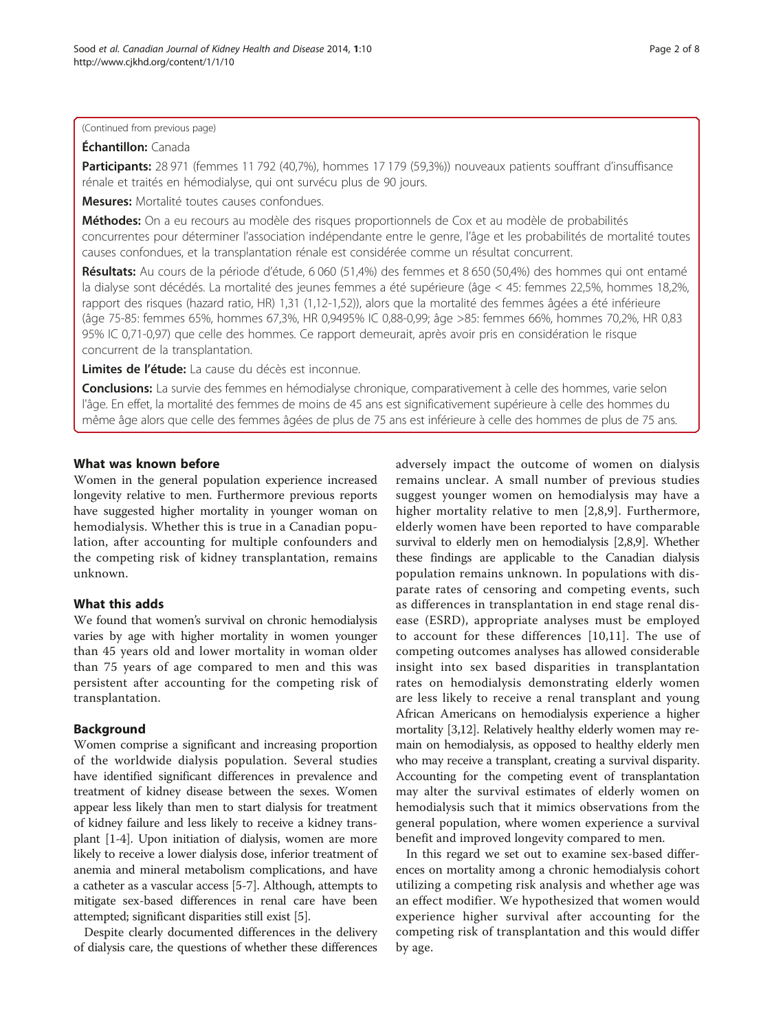## (Continued from previous page)

Échantillon: Canada

Participants: 28 971 (femmes 11 792 (40,7%), hommes 17 179 (59,3%)) nouveaux patients souffrant d'insuffisance rénale et traités en hémodialyse, qui ont survécu plus de 90 jours.

**Mesures:** Mortalité toutes causes confondues.

Méthodes: On a eu recours au modèle des risques proportionnels de Cox et au modèle de probabilités concurrentes pour déterminer l'association indépendante entre le genre, l'âge et les probabilités de mortalité toutes causes confondues, et la transplantation rénale est considérée comme un résultat concurrent.

Résultats: Au cours de la période d'étude, 6 060 (51,4%) des femmes et 8 650 (50,4%) des hommes qui ont entamé la dialyse sont décédés. La mortalité des jeunes femmes a été supérieure (âge < 45: femmes 22,5%, hommes 18,2%, rapport des risques (hazard ratio, HR) 1,31 (1,12-1,52)), alors que la mortalité des femmes âgées a été inférieure (âge 75-85: femmes 65%, hommes 67,3%, HR 0,9495% IC 0,88-0,99; âge >85: femmes 66%, hommes 70,2%, HR 0,83 95% IC 0,71-0,97) que celle des hommes. Ce rapport demeurait, après avoir pris en considération le risque concurrent de la transplantation.

Limites de l'étude: La cause du décès est inconnue.

**Conclusions:** La survie des femmes en hémodialyse chronique, comparativement à celle des hommes, varie selon l'âge. En effet, la mortalité des femmes de moins de 45 ans est significativement supérieure à celle des hommes du même âge alors que celle des femmes âgées de plus de 75 ans est inférieure à celle des hommes de plus de 75 ans.

## What was known before

Women in the general population experience increased longevity relative to men. Furthermore previous reports have suggested higher mortality in younger woman on hemodialysis. Whether this is true in a Canadian population, after accounting for multiple confounders and the competing risk of kidney transplantation, remains unknown.

## What this adds

We found that women's survival on chronic hemodialysis varies by age with higher mortality in women younger than 45 years old and lower mortality in woman older than 75 years of age compared to men and this was persistent after accounting for the competing risk of transplantation.

## Background

Women comprise a significant and increasing proportion of the worldwide dialysis population. Several studies have identified significant differences in prevalence and treatment of kidney disease between the sexes. Women appear less likely than men to start dialysis for treatment of kidney failure and less likely to receive a kidney transplant [\[1-4](#page-7-0)]. Upon initiation of dialysis, women are more likely to receive a lower dialysis dose, inferior treatment of anemia and mineral metabolism complications, and have a catheter as a vascular access [\[5](#page-7-0)-[7\]](#page-7-0). Although, attempts to mitigate sex-based differences in renal care have been attempted; significant disparities still exist [\[5](#page-7-0)].

Despite clearly documented differences in the delivery of dialysis care, the questions of whether these differences adversely impact the outcome of women on dialysis remains unclear. A small number of previous studies suggest younger women on hemodialysis may have a higher mortality relative to men [[2,8,9\]](#page-7-0). Furthermore, elderly women have been reported to have comparable survival to elderly men on hemodialysis [\[2,8,9](#page-7-0)]. Whether these findings are applicable to the Canadian dialysis population remains unknown. In populations with disparate rates of censoring and competing events, such as differences in transplantation in end stage renal disease (ESRD), appropriate analyses must be employed to account for these differences [[10](#page-7-0),[11\]](#page-7-0). The use of competing outcomes analyses has allowed considerable insight into sex based disparities in transplantation rates on hemodialysis demonstrating elderly women are less likely to receive a renal transplant and young African Americans on hemodialysis experience a higher mortality [\[3,12\]](#page-7-0). Relatively healthy elderly women may remain on hemodialysis, as opposed to healthy elderly men who may receive a transplant, creating a survival disparity. Accounting for the competing event of transplantation may alter the survival estimates of elderly women on hemodialysis such that it mimics observations from the general population, where women experience a survival benefit and improved longevity compared to men.

In this regard we set out to examine sex-based differences on mortality among a chronic hemodialysis cohort utilizing a competing risk analysis and whether age was an effect modifier. We hypothesized that women would experience higher survival after accounting for the competing risk of transplantation and this would differ by age.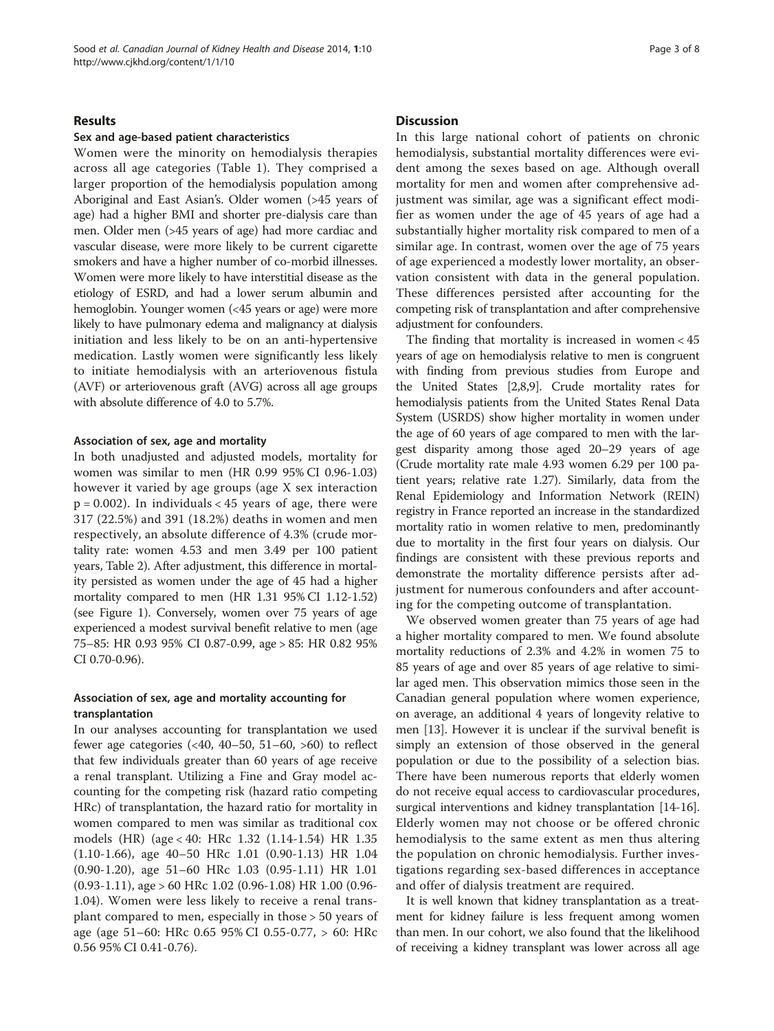#### Results

#### Sex and age-based patient characteristics

Women were the minority on hemodialysis therapies across all age categories (Table [1](#page-3-0)). They comprised a larger proportion of the hemodialysis population among Aboriginal and East Asian's. Older women (>45 years of age) had a higher BMI and shorter pre-dialysis care than men. Older men (>45 years of age) had more cardiac and vascular disease, were more likely to be current cigarette smokers and have a higher number of co-morbid illnesses. Women were more likely to have interstitial disease as the etiology of ESRD, and had a lower serum albumin and hemoglobin. Younger women (<45 years or age) were more likely to have pulmonary edema and malignancy at dialysis initiation and less likely to be on an anti-hypertensive medication. Lastly women were significantly less likely to initiate hemodialysis with an arteriovenous fistula (AVF) or arteriovenous graft (AVG) across all age groups with absolute difference of 4.0 to 5.7%.

## Association of sex, age and mortality

In both unadjusted and adjusted models, mortality for women was similar to men (HR 0.99 95% CI 0.96-1.03) however it varied by age groups (age X sex interaction  $p = 0.002$ ). In individuals < 45 years of age, there were 317 (22.5%) and 391 (18.2%) deaths in women and men respectively, an absolute difference of 4.3% (crude mortality rate: women 4.53 and men 3.49 per 100 patient years, Table [2](#page-5-0)). After adjustment, this difference in mortality persisted as women under the age of 45 had a higher mortality compared to men (HR 1.31 95% CI 1.12-1.52) (see Figure [1\)](#page-5-0). Conversely, women over 75 years of age experienced a modest survival benefit relative to men (age 75–85: HR 0.93 95% CI 0.87-0.99, age > 85: HR 0.82 95% CI 0.70-0.96).

## Association of sex, age and mortality accounting for transplantation

In our analyses accounting for transplantation we used fewer age categories  $(\langle 40, 40-50, 51-60, 50)$  to reflect that few individuals greater than 60 years of age receive a renal transplant. Utilizing a Fine and Gray model accounting for the competing risk (hazard ratio competing HRc) of transplantation, the hazard ratio for mortality in women compared to men was similar as traditional cox models (HR) (age < 40: HRc 1.32 (1.14-1.54) HR 1.35 (1.10-1.66), age 40–50 HRc 1.01 (0.90-1.13) HR 1.04 (0.90-1.20), age 51–60 HRc 1.03 (0.95-1.11) HR 1.01 (0.93-1.11), age > 60 HRc 1.02 (0.96-1.08) HR 1.00 (0.96- 1.04). Women were less likely to receive a renal transplant compared to men, especially in those > 50 years of age (age 51–60: HRc 0.65 95% CI 0.55-0.77, > 60: HRc 0.56 95% CI 0.41-0.76).

## **Discussion**

In this large national cohort of patients on chronic hemodialysis, substantial mortality differences were evident among the sexes based on age. Although overall mortality for men and women after comprehensive adjustment was similar, age was a significant effect modifier as women under the age of 45 years of age had a substantially higher mortality risk compared to men of a similar age. In contrast, women over the age of 75 years of age experienced a modestly lower mortality, an observation consistent with data in the general population. These differences persisted after accounting for the competing risk of transplantation and after comprehensive adjustment for confounders.

The finding that mortality is increased in women < 45 years of age on hemodialysis relative to men is congruent with finding from previous studies from Europe and the United States [\[2,8,9](#page-7-0)]. Crude mortality rates for hemodialysis patients from the United States Renal Data System (USRDS) show higher mortality in women under the age of 60 years of age compared to men with the largest disparity among those aged 20–29 years of age (Crude mortality rate male 4.93 women 6.29 per 100 patient years; relative rate 1.27). Similarly, data from the Renal Epidemiology and Information Network (REIN) registry in France reported an increase in the standardized mortality ratio in women relative to men, predominantly due to mortality in the first four years on dialysis. Our findings are consistent with these previous reports and demonstrate the mortality difference persists after adjustment for numerous confounders and after accounting for the competing outcome of transplantation.

We observed women greater than 75 years of age had a higher mortality compared to men. We found absolute mortality reductions of 2.3% and 4.2% in women 75 to 85 years of age and over 85 years of age relative to similar aged men. This observation mimics those seen in the Canadian general population where women experience, on average, an additional 4 years of longevity relative to men [\[13](#page-7-0)]. However it is unclear if the survival benefit is simply an extension of those observed in the general population or due to the possibility of a selection bias. There have been numerous reports that elderly women do not receive equal access to cardiovascular procedures, surgical interventions and kidney transplantation [[14](#page-7-0)-[16](#page-7-0)]. Elderly women may not choose or be offered chronic hemodialysis to the same extent as men thus altering the population on chronic hemodialysis. Further investigations regarding sex-based differences in acceptance and offer of dialysis treatment are required.

It is well known that kidney transplantation as a treatment for kidney failure is less frequent among women than men. In our cohort, we also found that the likelihood of receiving a kidney transplant was lower across all age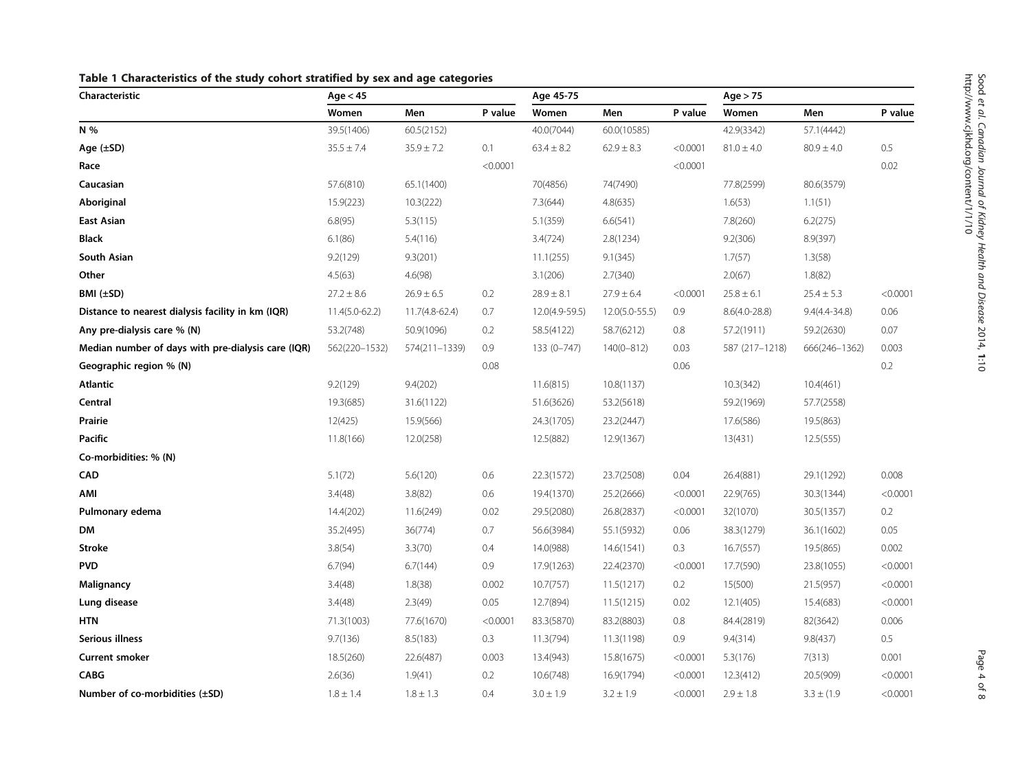| Characteristic                                     | Age $<$ 45         |                  |          | Age 45-75      |                  |          | Age $> 75$      |                   |          |
|----------------------------------------------------|--------------------|------------------|----------|----------------|------------------|----------|-----------------|-------------------|----------|
|                                                    | Women              | Men              | P value  | Women          | Men              | P value  | Women           | Men               | P value  |
| N %                                                | 39.5(1406)         | 60.5(2152)       |          | 40.0(7044)     | 60.0(10585)      |          | 42.9(3342)      | 57.1(4442)        |          |
| Age (±SD)                                          | $35.5 \pm 7.4$     | $35.9 \pm 7.2$   | 0.1      | $63.4 \pm 8.2$ | $62.9 \pm 8.3$   | < 0.0001 | $81.0 \pm 4.0$  | $80.9 \pm 4.0$    | 0.5      |
| Race                                               |                    |                  | < 0.0001 |                |                  | < 0.0001 |                 |                   | 0.02     |
| Caucasian                                          | 57.6(810)          | 65.1(1400)       |          | 70(4856)       | 74(7490)         |          | 77.8(2599)      | 80.6(3579)        |          |
| Aboriginal                                         | 15.9(223)          | 10.3(222)        |          | 7.3(644)       | 4.8(635)         |          | 1.6(53)         | 1.1(51)           |          |
| <b>East Asian</b>                                  | 6.8(95)            | 5.3(115)         |          | 5.1(359)       | 6.6(541)         |          | 7.8(260)        | 6.2(275)          |          |
| <b>Black</b>                                       | 6.1(86)            | 5.4(116)         |          | 3.4(724)       | 2.8(1234)        |          | 9.2(306)        | 8.9(397)          |          |
| South Asian                                        | 9.2(129)           | 9.3(201)         |          | 11.1(255)      | 9.1(345)         |          | 1.7(57)         | 1.3(58)           |          |
| Other                                              | 4.5(63)            | 4.6(98)          |          | 3.1(206)       | 2.7(340)         |          | 2.0(67)         | 1.8(82)           |          |
| BMI (±SD)                                          | $27.2 \pm 8.6$     | $26.9 \pm 6.5$   | 0.2      | $28.9 \pm 8.1$ | $27.9 \pm 6.4$   | < 0.0001 | $25.8 \pm 6.1$  | $25.4 \pm 5.3$    | < 0.0001 |
| Distance to nearest dialysis facility in km (IQR)  | $11.4(5.0 - 62.2)$ | $11.7(4.8-62.4)$ | 0.7      | 12.0(4.9-59.5) | $12.0(5.0-55.5)$ | 0.9      | $8.6(4.0-28.8)$ | $9.4(4.4 - 34.8)$ | 0.06     |
| Any pre-dialysis care % (N)                        | 53.2(748)          | 50.9(1096)       | 0.2      | 58.5(4122)     | 58.7(6212)       | 0.8      | 57.2(1911)      | 59.2(2630)        | 0.07     |
| Median number of days with pre-dialysis care (IQR) | 562(220-1532)      | 574(211-1339)    | 0.9      | 133 (0-747)    | $140(0 - 812)$   | 0.03     | 587 (217-1218)  | 666(246-1362)     | 0.003    |
| Geographic region % (N)                            |                    |                  | 0.08     |                |                  | 0.06     |                 |                   | 0.2      |
| Atlantic                                           | 9.2(129)           | 9.4(202)         |          | 11.6(815)      | 10.8(1137)       |          | 10.3(342)       | 10.4(461)         |          |
| Central                                            | 19.3(685)          | 31.6(1122)       |          | 51.6(3626)     | 53.2(5618)       |          | 59.2(1969)      | 57.7(2558)        |          |
| Prairie                                            | 12(425)            | 15.9(566)        |          | 24.3(1705)     | 23.2(2447)       |          | 17.6(586)       | 19.5(863)         |          |
| <b>Pacific</b>                                     | 11.8(166)          | 12.0(258)        |          | 12.5(882)      | 12.9(1367)       |          | 13(431)         | 12.5(555)         |          |
| Co-morbidities: % (N)                              |                    |                  |          |                |                  |          |                 |                   |          |
| <b>CAD</b>                                         | 5.1(72)            | 5.6(120)         | 0.6      | 22.3(1572)     | 23.7(2508)       | 0.04     | 26.4(881)       | 29.1(1292)        | 0.008    |
| AMI                                                | 3.4(48)            | 3.8(82)          | 0.6      | 19.4(1370)     | 25.2(2666)       | < 0.0001 | 22.9(765)       | 30.3(1344)        | < 0.0001 |
| Pulmonary edema                                    | 14.4(202)          | 11.6(249)        | 0.02     | 29.5(2080)     | 26.8(2837)       | < 0.0001 | 32(1070)        | 30.5(1357)        | 0.2      |
| DM                                                 | 35.2(495)          | 36(774)          | 0.7      | 56.6(3984)     | 55.1(5932)       | 0.06     | 38.3(1279)      | 36.1(1602)        | 0.05     |
| Stroke                                             | 3.8(54)            | 3.3(70)          | 0.4      | 14.0(988)      | 14.6(1541)       | 0.3      | 16.7(557)       | 19.5(865)         | 0.002    |
| <b>PVD</b>                                         | 6.7(94)            | 6.7(144)         | 0.9      | 17.9(1263)     | 22.4(2370)       | < 0.0001 | 17.7(590)       | 23.8(1055)        | < 0.0001 |
| Malignancy                                         | 3.4(48)            | 1.8(38)          | 0.002    | 10.7(757)      | 11.5(1217)       | 0.2      | 15(500)         | 21.5(957)         | < 0.0001 |
| Lung disease                                       | 3.4(48)            | 2.3(49)          | 0.05     | 12.7(894)      | 11.5(1215)       | 0.02     | 12.1(405)       | 15.4(683)         | < 0.0001 |
| HTN                                                | 71.3(1003)         | 77.6(1670)       | < 0.0001 | 83.3(5870)     | 83.2(8803)       | 0.8      | 84.4(2819)      | 82(3642)          | 0.006    |
| Serious illness                                    | 9.7(136)           | 8.5(183)         | 0.3      | 11.3(794)      | 11.3(1198)       | 0.9      | 9.4(314)        | 9.8(437)          | $0.5\,$  |
| <b>Current smoker</b>                              | 18.5(260)          | 22.6(487)        | 0.003    | 13.4(943)      | 15.8(1675)       | < 0.0001 | 5.3(176)        | 7(313)            | 0.001    |
| CABG                                               | 2.6(36)            | 1.9(41)          | 0.2      | 10.6(748)      | 16.9(1794)       | < 0.0001 | 12.3(412)       | 20.5(909)         | < 0.0001 |
| Number of co-morbidities (±SD)                     | $1.8 \pm 1.4$      | $1.8 \pm 1.3$    | 0.4      | $3.0 \pm 1.9$  | $3.2 \pm 1.9$    | < 0.0001 | $2.9 \pm 1.8$   | $3.3 \pm (1.9)$   | < 0.0001 |

<span id="page-3-0"></span>Table 1 Characteristics of the study cohort stratified by sex and age categories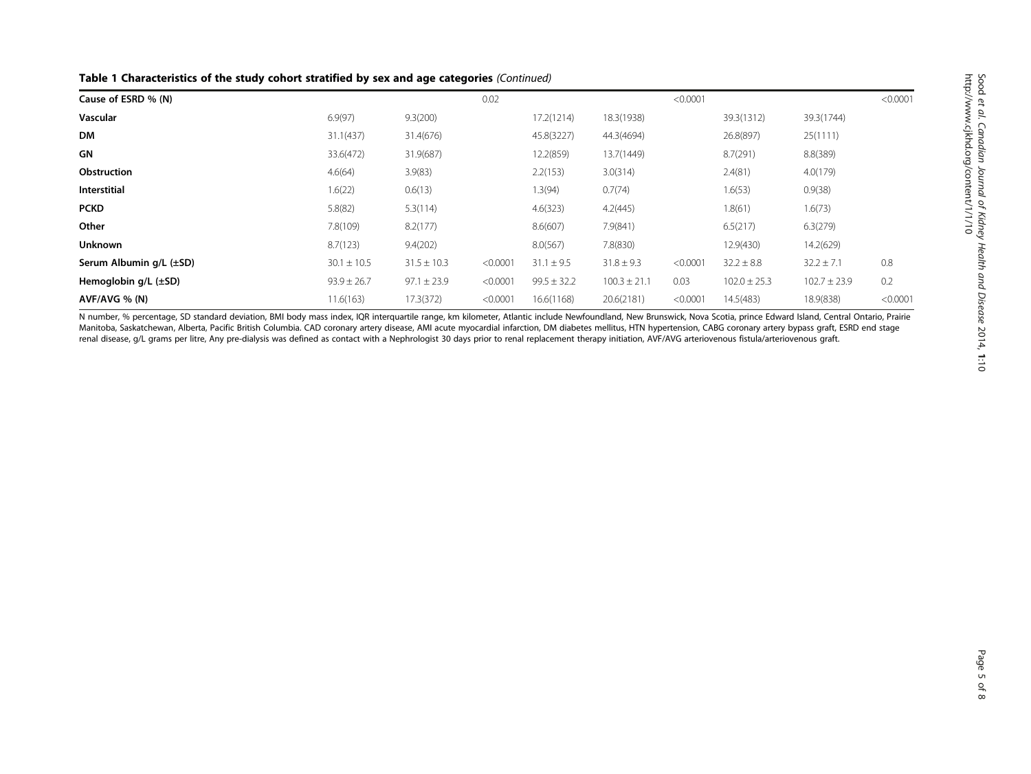|  |  |  |  |  | Table 1 Characteristics of the study cohort stratified by sex and age categories (Continued) |
|--|--|--|--|--|----------------------------------------------------------------------------------------------|
|--|--|--|--|--|----------------------------------------------------------------------------------------------|

| Cause of ESRD % (N)          |                 |                 | 0.02     |                 |                  | < 0.0001 |                  |                  | < 0.0001 |
|------------------------------|-----------------|-----------------|----------|-----------------|------------------|----------|------------------|------------------|----------|
| Vascular                     | 6.9(97)         | 9.3(200)        |          | 17.2(1214)      | 18.3(1938)       |          | 39.3(1312)       | 39.3(1744)       |          |
| <b>DM</b>                    | 31.1(437)       | 31.4(676)       |          | 45.8(3227)      | 44.3(4694)       |          | 26.8(897)        | 25(1111)         |          |
| GN                           | 33.6(472)       | 31.9(687)       |          | 12.2(859)       | 13.7(1449)       |          | 8.7(291)         | 8.8(389)         |          |
| Obstruction                  | 4.6(64)         | 3.9(83)         |          | 2.2(153)        | 3.0(314)         |          | 2.4(81)          | 4.0(179)         |          |
| <b>Interstitial</b>          | 1.6(22)         | 0.6(13)         |          | 1.3(94)         | 0.7(74)          |          | 1.6(53)          | 0.9(38)          |          |
| <b>PCKD</b>                  | 5.8(82)         | 5.3(114)        |          | 4.6(323)        | 4.2(445)         |          | 1.8(61)          | 1.6(73)          |          |
| Other                        | 7.8(109)        | 8.2(177)        |          | 8.6(607)        | 7.9(841)         |          | 6.5(217)         | 6.3(279)         |          |
| Unknown                      | 8.7(123)        | 9.4(202)        |          | 8.0(567)        | 7.8(830)         |          | 12.9(430)        | 14.2(629)        |          |
| Serum Albumin g/L (±SD)      | $30.1 \pm 10.5$ | $31.5 \pm 10.3$ | < 0.0001 | $31.1 \pm 9.5$  | $31.8 \pm 9.3$   | < 0.0001 | $32.2 \pm 8.8$   | $32.2 \pm 7.1$   | 0.8      |
| Hemoglobin $q/L$ ( $\pm$ SD) | $93.9 \pm 26.7$ | $97.1 \pm 23.9$ | < 0.0001 | $99.5 \pm 32.2$ | $100.3 \pm 21.1$ | 0.03     | $102.0 \pm 25.3$ | $102.7 \pm 23.9$ | 0.2      |
| AVF/AVG % (N)                | 11.6(163)       | 17.3(372)       | < 0.0001 | 16.6(1168)      | 20.6(2181)       | < 0.0001 | 14.5(483)        | 18.9(838)        | < 0.0001 |
|                              |                 |                 |          |                 |                  |          |                  |                  |          |

N number, % percentage, SD standard deviation, BMI body mass index, IQR interquartile range, km kilometer, Atlantic include Newfoundland, New Brunswick, Nova Scotia, prince Edward Island, Central Ontario, Prairie Manitoba, Saskatchewan, Alberta, Pacific British Columbia. CAD coronary artery disease, AMI acute myocardial infarction, DM diabetes mellitus, HTN hypertension, CABG coronary artery bypass graft, ESRD end stage renal disease, g/L grams per litre, Any pre-dialysis was defined as contact with a Nephrologist 30 days prior to renal replacement therapy initiation, AVF/AVG arteriovenous fistula/arteriovenous graft.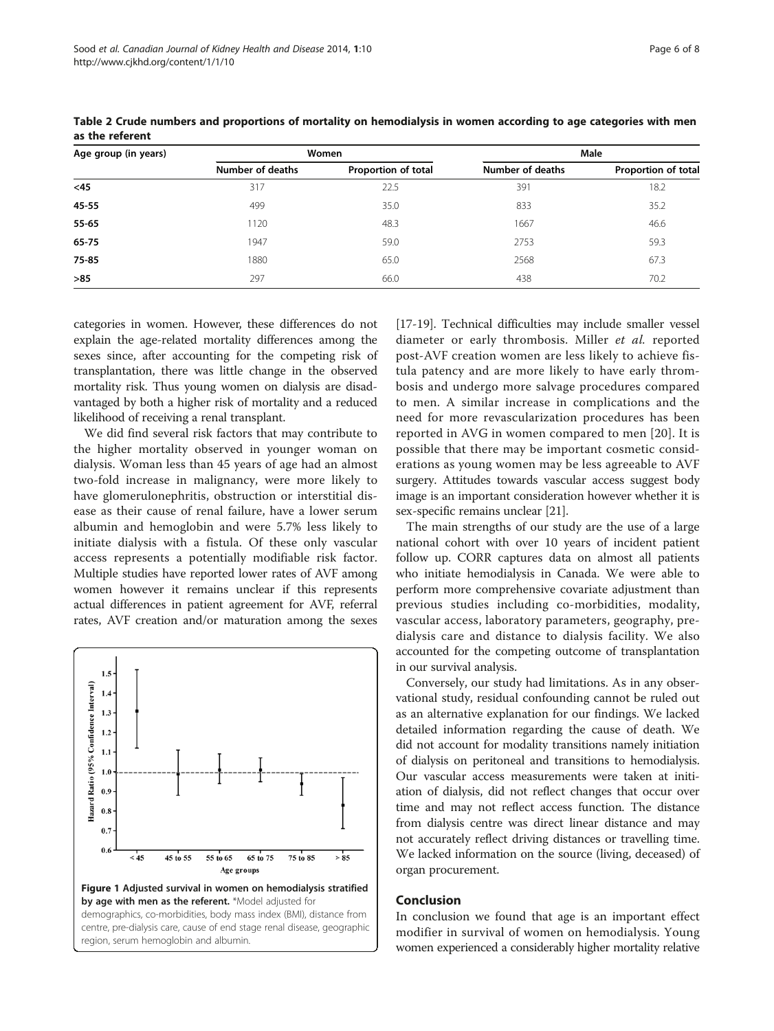| Age group (in years) |                  | Women               | Male             |                     |  |  |
|----------------------|------------------|---------------------|------------------|---------------------|--|--|
|                      | Number of deaths | Proportion of total | Number of deaths | Proportion of total |  |  |
| <45                  | 317              | 22.5                | 391              | 18.2                |  |  |
| 45-55                | 499              | 35.0                | 833              | 35.2                |  |  |
| 55-65                | 1120             | 48.3                | 1667             | 46.6                |  |  |
| 65-75                | 1947             | 59.0                | 2753             | 59.3                |  |  |
| 75-85                | 1880             | 65.0                | 2568             | 67.3                |  |  |
| $>85$                | 297              | 66.0                | 438              | 70.2                |  |  |

<span id="page-5-0"></span>Table 2 Crude numbers and proportions of mortality on hemodialysis in women according to age categories with men as the referent

categories in women. However, these differences do not explain the age-related mortality differences among the sexes since, after accounting for the competing risk of transplantation, there was little change in the observed mortality risk. Thus young women on dialysis are disadvantaged by both a higher risk of mortality and a reduced likelihood of receiving a renal transplant.

We did find several risk factors that may contribute to the higher mortality observed in younger woman on dialysis. Woman less than 45 years of age had an almost two-fold increase in malignancy, were more likely to have glomerulonephritis, obstruction or interstitial disease as their cause of renal failure, have a lower serum albumin and hemoglobin and were 5.7% less likely to initiate dialysis with a fistula. Of these only vascular access represents a potentially modifiable risk factor. Multiple studies have reported lower rates of AVF among women however it remains unclear if this represents actual differences in patient agreement for AVF, referral rates, AVF creation and/or maturation among the sexes



[[17](#page-7-0)-[19\]](#page-7-0). Technical difficulties may include smaller vessel diameter or early thrombosis. Miller et al. reported post-AVF creation women are less likely to achieve fistula patency and are more likely to have early thrombosis and undergo more salvage procedures compared to men. A similar increase in complications and the need for more revascularization procedures has been reported in AVG in women compared to men [[20](#page-7-0)]. It is possible that there may be important cosmetic considerations as young women may be less agreeable to AVF surgery. Attitudes towards vascular access suggest body image is an important consideration however whether it is sex-specific remains unclear [[21](#page-7-0)].

The main strengths of our study are the use of a large national cohort with over 10 years of incident patient follow up. CORR captures data on almost all patients who initiate hemodialysis in Canada. We were able to perform more comprehensive covariate adjustment than previous studies including co-morbidities, modality, vascular access, laboratory parameters, geography, predialysis care and distance to dialysis facility. We also accounted for the competing outcome of transplantation in our survival analysis.

Conversely, our study had limitations. As in any observational study, residual confounding cannot be ruled out as an alternative explanation for our findings. We lacked detailed information regarding the cause of death. We did not account for modality transitions namely initiation of dialysis on peritoneal and transitions to hemodialysis. Our vascular access measurements were taken at initiation of dialysis, did not reflect changes that occur over time and may not reflect access function. The distance from dialysis centre was direct linear distance and may not accurately reflect driving distances or travelling time. We lacked information on the source (living, deceased) of organ procurement.

## Conclusion

In conclusion we found that age is an important effect modifier in survival of women on hemodialysis. Young women experienced a considerably higher mortality relative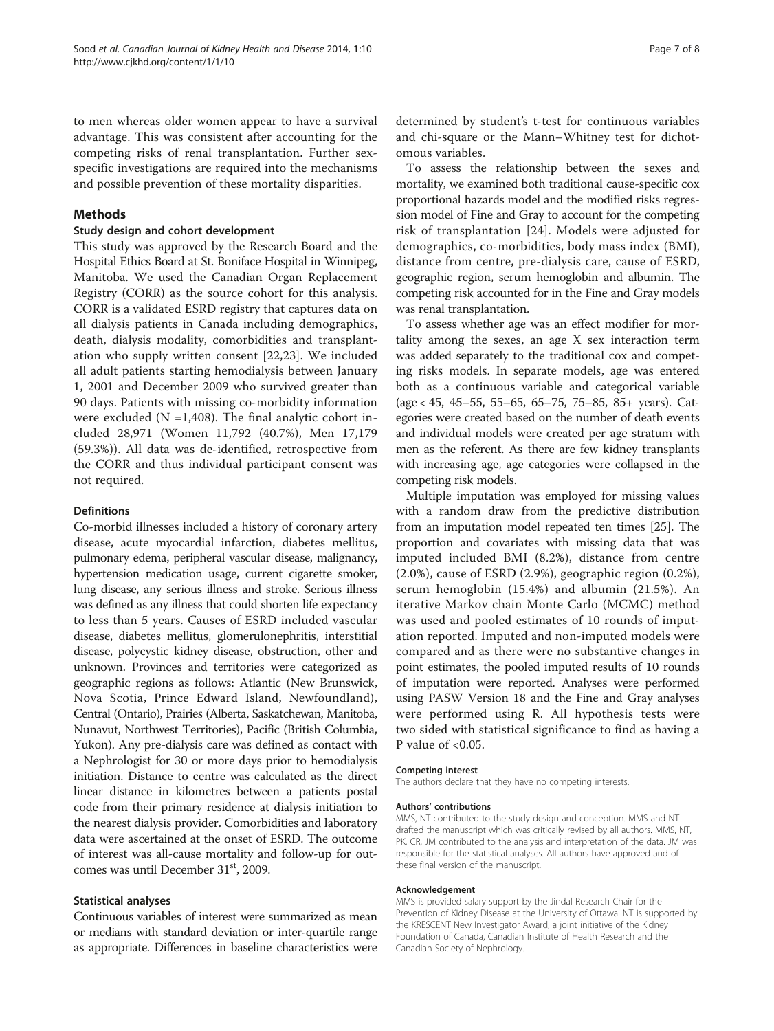to men whereas older women appear to have a survival advantage. This was consistent after accounting for the competing risks of renal transplantation. Further sexspecific investigations are required into the mechanisms and possible prevention of these mortality disparities.

## Methods

#### Study design and cohort development

This study was approved by the Research Board and the Hospital Ethics Board at St. Boniface Hospital in Winnipeg, Manitoba. We used the Canadian Organ Replacement Registry (CORR) as the source cohort for this analysis. CORR is a validated ESRD registry that captures data on all dialysis patients in Canada including demographics, death, dialysis modality, comorbidities and transplantation who supply written consent [[22,23\]](#page-7-0). We included all adult patients starting hemodialysis between January 1, 2001 and December 2009 who survived greater than 90 days. Patients with missing co-morbidity information were excluded ( $N = 1,408$ ). The final analytic cohort included 28,971 (Women 11,792 (40.7%), Men 17,179 (59.3%)). All data was de-identified, retrospective from the CORR and thus individual participant consent was not required.

#### Definitions

Co-morbid illnesses included a history of coronary artery disease, acute myocardial infarction, diabetes mellitus, pulmonary edema, peripheral vascular disease, malignancy, hypertension medication usage, current cigarette smoker, lung disease, any serious illness and stroke. Serious illness was defined as any illness that could shorten life expectancy to less than 5 years. Causes of ESRD included vascular disease, diabetes mellitus, glomerulonephritis, interstitial disease, polycystic kidney disease, obstruction, other and unknown. Provinces and territories were categorized as geographic regions as follows: Atlantic (New Brunswick, Nova Scotia, Prince Edward Island, Newfoundland), Central (Ontario), Prairies (Alberta, Saskatchewan, Manitoba, Nunavut, Northwest Territories), Pacific (British Columbia, Yukon). Any pre-dialysis care was defined as contact with a Nephrologist for 30 or more days prior to hemodialysis initiation. Distance to centre was calculated as the direct linear distance in kilometres between a patients postal code from their primary residence at dialysis initiation to the nearest dialysis provider. Comorbidities and laboratory data were ascertained at the onset of ESRD. The outcome of interest was all-cause mortality and follow-up for outcomes was until December 31<sup>st</sup>, 2009.

#### Statistical analyses

Continuous variables of interest were summarized as mean or medians with standard deviation or inter-quartile range as appropriate. Differences in baseline characteristics were determined by student's t-test for continuous variables and chi-square or the Mann–Whitney test for dichotomous variables.

To assess the relationship between the sexes and mortality, we examined both traditional cause-specific cox proportional hazards model and the modified risks regression model of Fine and Gray to account for the competing risk of transplantation [\[24\]](#page-7-0). Models were adjusted for demographics, co-morbidities, body mass index (BMI), distance from centre, pre-dialysis care, cause of ESRD, geographic region, serum hemoglobin and albumin. The competing risk accounted for in the Fine and Gray models was renal transplantation.

To assess whether age was an effect modifier for mortality among the sexes, an age X sex interaction term was added separately to the traditional cox and competing risks models. In separate models, age was entered both as a continuous variable and categorical variable (age < 45, 45–55, 55–65, 65–75, 75–85, 85+ years). Categories were created based on the number of death events and individual models were created per age stratum with men as the referent. As there are few kidney transplants with increasing age, age categories were collapsed in the competing risk models.

Multiple imputation was employed for missing values with a random draw from the predictive distribution from an imputation model repeated ten times [[25](#page-7-0)]. The proportion and covariates with missing data that was imputed included BMI (8.2%), distance from centre (2.0%), cause of ESRD (2.9%), geographic region (0.2%), serum hemoglobin (15.4%) and albumin (21.5%). An iterative Markov chain Monte Carlo (MCMC) method was used and pooled estimates of 10 rounds of imputation reported. Imputed and non-imputed models were compared and as there were no substantive changes in point estimates, the pooled imputed results of 10 rounds of imputation were reported. Analyses were performed using PASW Version 18 and the Fine and Gray analyses were performed using R. All hypothesis tests were two sided with statistical significance to find as having a P value of  $< 0.05$ .

#### Competing interest

The authors declare that they have no competing interests.

#### Authors' contributions

MMS, NT contributed to the study design and conception. MMS and NT drafted the manuscript which was critically revised by all authors. MMS, NT, PK, CR, JM contributed to the analysis and interpretation of the data. JM was responsible for the statistical analyses. All authors have approved and of these final version of the manuscript.

#### Acknowledgement

MMS is provided salary support by the Jindal Research Chair for the Prevention of Kidney Disease at the University of Ottawa. NT is supported by the KRESCENT New Investigator Award, a joint initiative of the Kidney Foundation of Canada, Canadian Institute of Health Research and the Canadian Society of Nephrology.